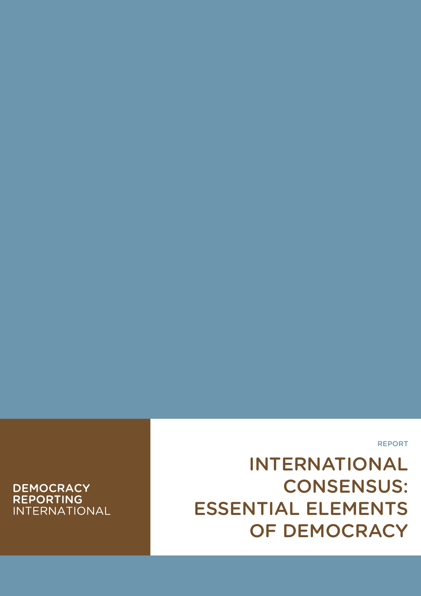## **DEMOCRACY REPORTING INTERNATIONAL**

# INTERNATIONAL CONSENSUS: ESSENTIAL ELEMENTS OF DEMOCRACY

REPORT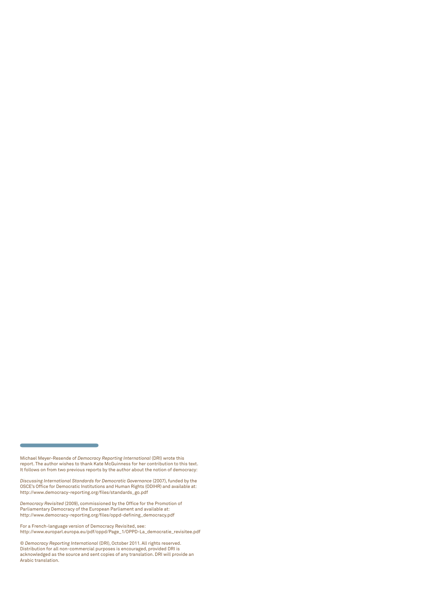*Discussing International Standards for Democratic Governance* (2007), funded by the OSCE's Office for Democratic Institutions and Human Rights (ODIHR) and available at: http://www.democracy-reporting.org/files/standards\_go.pdf

*Democracy Revisited* (2009), commissioned by the Office for the Promotion of Parliamentary Democracy of the European Parliament and available at: http://www.democracy-reporting.org/files/oppd-defining\_democracy.pdf

For a French-language version of Democracy Revisited, see: http://www.europarl.europa.eu/pdf/oppd/Page\_1/OPPD-La\_democratie\_revisitee.pdf

Michael Meyer-Resende of *Democracy Reporting International* (DRI) wrote this report. The author wishes to thank Kate McGuinness for her contribution to this text. It follows on from two previous reports by the author about the notion of democracy:

<sup>©</sup> *Democracy Reporting International* (DRI), October 2011. All rights reserved. Distribution for all non-commercial purposes is encouraged, provided DRI is acknowledged as the source and sent copies of any translation. DRI will provide an Arabic translation.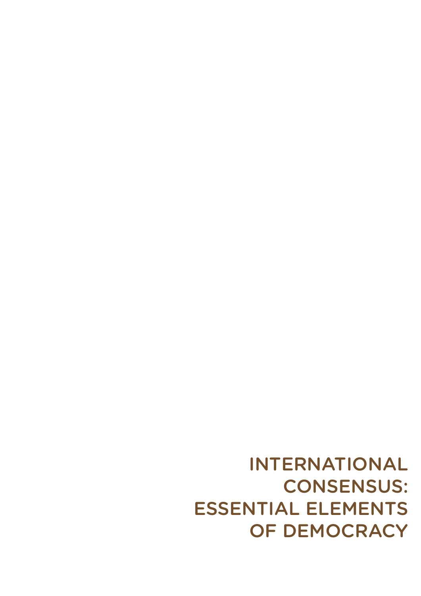INTERNATIONAL CONSENSUS: ESSENTIAL ELEMENTS OF DEMOCRACY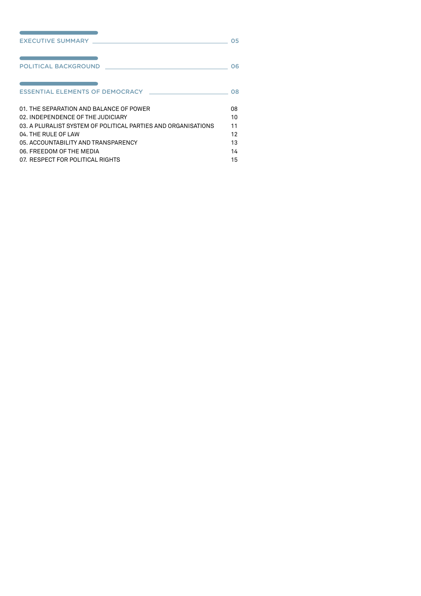| EXECUTIVE SUMMARY EXECUTIVE SUMMARY                                                                       | 05 |
|-----------------------------------------------------------------------------------------------------------|----|
| the control of the control of the control of the control of the control of<br><b>POLITICAL BACKGROUND</b> | 06 |
| and the state of the state of the state of the state of the state of the                                  | 08 |
| 01. THE SEPARATION AND BAI ANCE OF POWER                                                                  | 08 |
| 02. INDEPENDENCE OF THE JUDICIARY                                                                         | 10 |
| 03. A PLURALIST SYSTEM OF POLITICAL PARTIES AND ORGANISATIONS                                             | 11 |
| 04. THE RULE OF LAW                                                                                       | 12 |
| 05. ACCOUNTABILITY AND TRANSPARENCY                                                                       | 13 |
| 06. FREEDOM OF THE MEDIA                                                                                  | 14 |
| 07. RESPECT FOR POLITICAL RIGHTS                                                                          | 15 |

and the control of the control of the control of the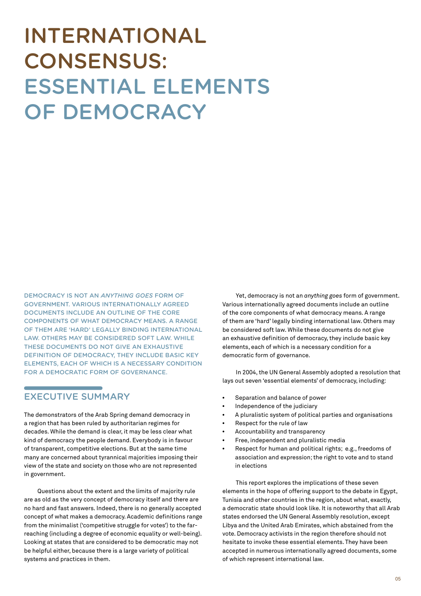# <span id="page-4-0"></span>INTERNATIONAL CONSENSUS: ESSENTIAL ELEMENTS OF DEMOCRACY

Democracy is not an *anything goes* form of government. Various internationally agreed documents include an outline of the core components of what democracy means. A range of them are 'hard' legally binding international law. Others may be considered soft law. While these documents do not give an exhaustive definition of democracy, they include basic key elements, each of which is a necessary condition for a democratic form of governance.

## EXECUTIVE SUMMARY

The demonstrators of the Arab Spring demand democracy in a region that has been ruled by authoritarian regimes for decades. While the demand is clear, it may be less clear what kind of democracy the people demand. Everybody is in favour of transparent, competitive elections. But at the same time many are concerned about tyrannical majorities imposing their view of the state and society on those who are not represented in government.

Questions about the extent and the limits of majority rule are as old as the very concept of democracy itself and there are no hard and fast answers. Indeed, there is no generally accepted concept of what makes a democracy. Academic definitions range from the minimalist ('competitive struggle for votes') to the farreaching (including a degree of economic equality or well-being). Looking at states that are considered to be democratic may not be helpful either, because there is a large variety of political systems and practices in them.

Yet, democracy is not an *anything goes* form of government. Various internationally agreed documents include an outline of the core components of what democracy means. A range of them are 'hard' legally binding international law. Others may be considered soft law. While these documents do not give an exhaustive definition of democracy, they include basic key elements, each of which is a necessary condition for a democratic form of governance.

In 2004, the UN General Assembly adopted a resolution that lays out seven 'essential elements' of democracy, including:

- Separation and balance of power
- Independence of the judiciary
- A pluralistic system of political parties and organisations
- Respect for the rule of law
- Accountability and transparency
- Free, independent and pluralistic media
- Respect for human and political rights; e.g., freedoms of association and expression; the right to vote and to stand in elections

This report explores the implications of these seven elements in the hope of offering support to the debate in Egypt, Tunisia and other countries in the region, about what, exactly, a democratic state should look like. It is noteworthy that all Arab states endorsed the UN General Assembly resolution, except Libya and the United Arab Emirates, which abstained from the vote. Democracy activists in the region therefore should not hesitate to invoke these essential elements. They have been accepted in numerous internationally agreed documents, some of which represent international law.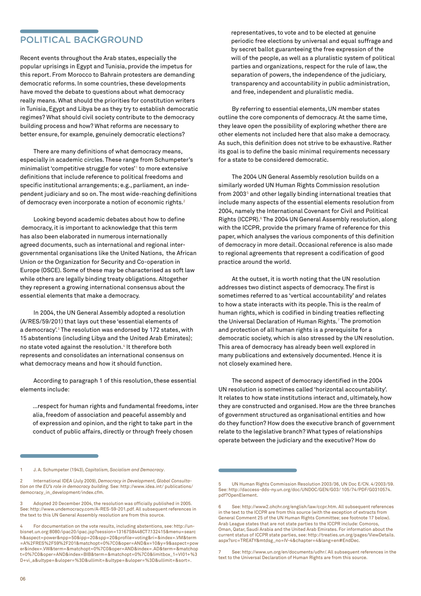### <span id="page-5-0"></span>POLITICAL BACKGROUND

Recent events throughout the Arab states, especially the popular uprisings in Egypt and Tunisia, provide the impetus for this report. From Morocco to Bahrain protesters are demanding democratic reforms. In some countries, these developments have moved the debate to questions about what democracy really means. What should the priorities for constitution writers in Tunisia, Egypt and Libya be as they try to establish democratic regimes? What should civil society contribute to the democracy building process and how? What reforms are necessary to better ensure, for example, genuinely democratic elections?

There are many definitions of what democracy means, especially in academic circles. These range from Schumpeter's minimalist 'competitive struggle for votes'1 to more extensive definitions that include reference to political freedoms and specific institutional arrangements; e.g., parliament, an independent judiciary and so on. The most wide-reaching definitions of democracy even incorporate a notion of economic rights.<sup>2</sup>

Looking beyond academic debates about how to define democracy, it is important to acknowledge that this term has also been elaborated in numerous internationally agreed documents, such as international and regional intergovernmental organisations like the United Nations, the African Union or the Organization for Security and Co-operation in Europe (OSCE). Some of these may be characterised as soft law while others are legally binding treaty obligations. Altogether they represent a growing international consensus about the essential elements that make a democracy.

In 2004, the UN General Assembly adopted a resolution (A/RES/59/201) that lays out these 'essential elements of a democracy'.<sup>3</sup> The resolution was endorsed by 172 states, with 15 abstentions (including Libya and the United Arab Emirates); no state voted against the resolution.<sup>4</sup> It therefore both represents and consolidates an international consensus on what democracy means and how it should function.

According to paragraph 1 of this resolution, these essential elements include:

…respect for human rights and fundamental freedoms, inter alia, freedom of association and peaceful assembly and of expression and opinion, and the right to take part in the conduct of public affairs, directly or through freely chosen

1 J. A. Schumpeter (1943), *Capitalism, Socialism and Democracy*.

2 International IDEA (July 2009), *Democracy in Development, Global Consultation on the EU's role in democracy building.* See: [http://www.idea.int/](http://www.ide) publications/ democracy\_in\_development/index.cfm.

 $06$ 

representatives, to vote and to be elected at genuine periodic free elections by universal and equal suffrage and by secret ballot guaranteeing the free expression of the will of the people, as well as a pluralistic system of political parties and organizations, respect for the rule of law, the separation of powers, the independence of the judiciary, transparency and accountability in public administration, and free, independent and pluralistic media.

By referring to essential elements, UN member states outline the core components of democracy. At the same time, they leave open the possibility of exploring whether there are other elements not included here that also make a democracy. As such, this definition does not strive to be exhaustive. Rather its goal is to define the basic minimal requirements necessary for a state to be considered democratic.

The 2004 UN General Assembly resolution builds on a similarly worded UN Human Rights Commission resolution from 2003<sup>5</sup> and other legally binding international treaties that include many aspects of the essential elements resolution from 2004, namely the International Covenant for Civil and Political Rights (ICCPR).<sup>6</sup> The 2004 UN General Assembly resolution, along with the ICCPR, provide the primary frame of reference for this paper, which analyses the various components of this definition of democracy in more detail. Occasional reference is also made to regional agreements that represent a codification of good practice around the world.

At the outset, it is worth noting that the UN resolution addresses two distinct aspects of democracy. The first is sometimes referred to as 'vertical accountability' and relates to how a state interacts with its people. This is the realm of human rights, which is codified in binding treaties reflecting the Universal Declaration of Human Rights.7 The promotion and protection of all human rights is a prerequisite for a democratic society, which is also stressed by the UN resolution. This area of democracy has already been well explored in many publications and extensively documented. Hence it is not closely examined here.

The second aspect of democracy identified in the 2004 UN resolution is sometimes called 'horizontal accountability'. It relates to how state institutions interact and, ultimately, how they are constructed and organised. How are the three branches of government structured as organisational entities and how do they function? How does the executive branch of government relate to the legislative branch? What types of relationships operate between the judiciary and the executive? How do

<sup>3</sup> Adopted 20 December 2004, the resolution was officially published in 2005. See: [http://www.undemocracy.com/A-RES-59-201.pdf.](http://www.undemocracy.com/A-RES-59-201.pdf) All subsequent references in the text to this UN General Assembly resolution are from this source.

<sup>4</sup> For documentation on the vote results, including abstentions, see: http://unbisnet.un.org:8080/ipac20/ipac.jsp?session=13167S8448CT7.132415&menu=searc h&aspect=power&npp=50&ipp=20&spp=20&profile=voting&ri=&index=.VM&term =A%2FRES%2F59%2F201&matchopt=0%7C0&oper=AND&x=10&y=9&aspect=pow er&index=.VW&term=&matchopt=0%7C0&oper=AND&index=.AD&term=&matchop t=0%7C0&oper=AND&index=BIB&term=&matchopt=0%7C0&limitbox\_1=VI01+%3 D+vi\_a&ultype=&uloper=%3D&ullimit=&ultype=&uloper=%3D&ullimit=&sort=.

<sup>5</sup> UN Human Rights Commission Resolution 2003/36, UN Doc E/CN. 4/2003/59. See:<http://daccess-dds-ny.un.org/doc/UNDOC/GEN/G03/>105/74/PDF/G0310574. pdf?OpenElement.

<sup>6</sup> See: http://www2.ohchr.org/english/law/ccpr.htm. All subsequent references in the text to the ICCPR are from this source (with the exception of extracts from General Comment 25 of the UN Human Rights Committee; see footnote 17 below). Arab League states that are not state parties to the ICCPR include: Comoros, Oman, Qatar, Saudi Arabia and the United Arab Emirates. For information about the current status of ICCPR state parties, see: http://treaties.un.org/pages/ViewDetails. aspx?src=TREATY&mtdsg\_no=IV-4&chapter=4&lang=en#EndDec.

See: [http://www.un.org/en/documents/udhr/.](http://www.un.org/en/documents/udhr/) All subsequent references in the text to the Universal Declaration of Human Rights are from this source.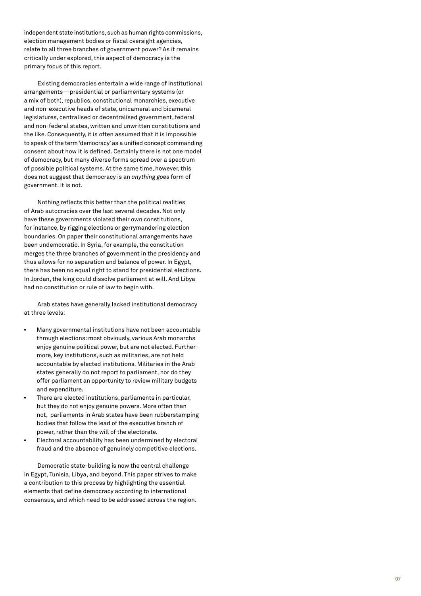independent state institutions, such as human rights commissions, election management bodies or fiscal oversight agencies, relate to all three branches of government power? As it remains critically under explored, this aspect of democracy is the primary focus of this report.

Existing democracies entertain a wide range of institutional arrangements—presidential or parliamentary systems (or a mix of both), republics, constitutional monarchies, executive and non-executive heads of state, unicameral and bicameral legislatures, centralised or decentralised government, federal and non-federal states, written and unwritten constitutions and the like. Consequently, it is often assumed that it is impossible to speak of the term 'democracy' as a unified concept commanding consent about how it is defined. Certainly there is not one model of democracy, but many diverse forms spread over a spectrum of possible political systems. At the same time, however, this does not suggest that democracy is an *anything goes* form of government. It is not.

Nothing reflects this better than the political realities of Arab autocracies over the last several decades. Not only have these governments violated their own constitutions, for instance, by rigging elections or gerrymandering election boundaries. On paper their constitutional arrangements have been undemocratic. In Syria, for example, the constitution merges the three branches of government in the presidency and thus allows for no separation and balance of power. In Egypt, there has been no equal right to stand for presidential elections. In Jordan, the king could dissolve parliament at will. And Libya had no constitution or rule of law to begin with.

Arab states have generally lacked institutional democracy at three levels:

- Many governmental institutions have not been accountable through elections: most obviously, various Arab monarchs enjoy genuine political power, but are not elected. Furthermore, key institutions, such as militaries, are not held accountable by elected institutions. Militaries in the Arab states generally do not report to parliament, nor do they offer parliament an opportunity to review military budgets and expenditure.
- There are elected institutions, parliaments in particular, but they do not enjoy genuine powers. More often than not, parliaments in Arab states have been rubberstamping bodies that follow the lead of the executive branch of power, rather than the will of the electorate.
- Electoral accountability has been undermined by electoral fraud and the absence of genuinely competitive elections.

Democratic state-building is now the central challenge in Egypt, Tunisia, Libya, and beyond. This paper strives to make a contribution to this process by highlighting the essential elements that define democracy according to international consensus, and which need to be addressed across the region.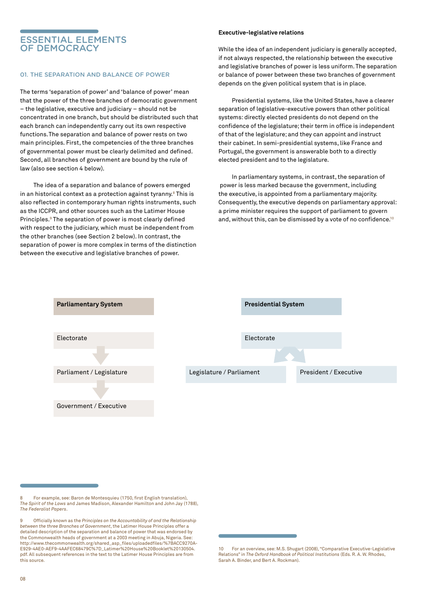### <span id="page-7-0"></span>ESSENTIAL ELEMENTS OF DEMOCRACY

#### 01. THE SEPARATION AND BALANCE OF POWER

The terms 'separation of power' and 'balance of power' mean that the power of the three branches of democratic government – the legislative, executive and judiciary – should not be concentrated in one branch, but should be distributed such that each branch can independently carry out its own respective functions.The separation and balance of power rests on two main principles. First, the competencies of the three branches of governmental power must be clearly delimited and defined. Second, all branches of government are bound by the rule of law (also see section 4 below).

The idea of a separation and balance of powers emerged in an historical context as a protection against tyranny.<sup>8</sup> This is also reflected in contemporary human rights instruments, such as the ICCPR, and other sources such as the Latimer House Principles.<sup>9</sup> The separation of power is most clearly defined with respect to the judiciary, which must be independent from the other branches (see Section 2 below). In contrast, the separation of power is more complex in terms of the distinction between the executive and legislative branches of power.

#### **Executive-legislative relations**

While the idea of an independent judiciary is generally accepted, if not always respected, the relationship between the executive and legislative branches of power is less uniform. The separation or balance of power between these two branches of government depends on the given political system that is in place.

Presidential systems, like the United States, have a clearer separation of legislative-executive powers than other political systems: directly elected presidents do not depend on the confidence of the legislature; their term in office is independent of that of the legislature; and they can appoint and instruct their cabinet. In semi-presidential systems, like France and Portugal, the government is answerable both to a directly elected president and to the legislature.

In parliamentary systems, in contrast, the separation of power is less marked because the government, including the executive, is appointed from a parliamentary majority. Consequently, the executive depends on parliamentary approval: a prime minister requires the support of parliament to govern and, without this, can be dismissed by a vote of no confidence.<sup>10</sup>



<sup>8</sup> For example, see: Baron de Montesquieu (1750, first English translation), *The Spirit of the Laws* and James Madison, Alexander Hamilton and John Jay (1788), *The Federalist Papers*.

<sup>9</sup> Officially known as the *Principles on the Accountability of and the Relationship between the three Branches of Government*, the Latimer House Principles offer a detailed description of the separation and balance of power that was endorsed by the Commonwealth heads of government at a 2003 meeting in Abuja, Nigeria. See: [http://www.thecommonwealth.org/shared\\_asp\\_files/uploadedfiles/%7BACC9270A-](http://www.thecommonwealth.org/shared_asp_files/uploadedfiles/%7BACC9270A-E929-4AE0-AEF9-4AAF)[E929-4AE0-AEF9-4AAFEC68479C%7D\\_Latimer%20House%20Booklet%20130504.](http://www.thecommonwealth.org/shared_asp_files/uploadedfiles/%7BACC9270A-E929-4AE0-AEF9-4AAF) [pdf.](http://www.thecommonwealth.org/shared_asp_files/uploadedfiles/%7BACC9270A-E929-4AE0-AEF9-4AAF) All subsequent references in the text to the Latimer House Principles are from .<br>this source.

<sup>10</sup> For an overview, see: M.S. Shugart (2008), "Comparative Executive-Legislative Relations" in *The Oxford Handbook of Political Institutions* (Eds. R. A. W. Rhodes, Sarah A. Binder, and Bert A. Rockman).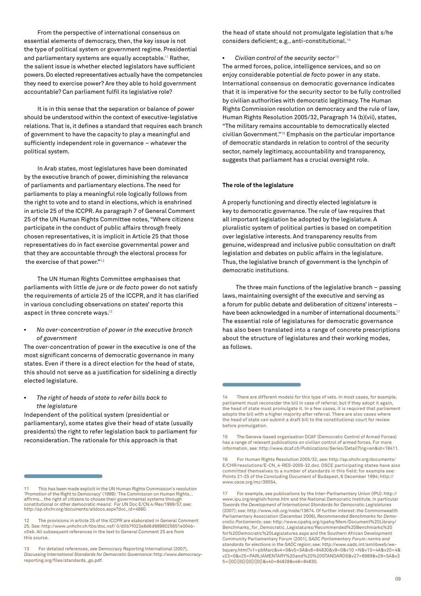From the perspective of international consensus on essential elements of democracy, then, the key issue is not the type of political system or government regime. Presidential and parliamentary systems are equally acceptable.<sup>11</sup> Rather, the salient issue is whether elected legislators have sufficient powers. Do elected representatives actually have the competencies they need to exercise power? Are they able to hold government accountable? Can parliament fulfil its legislative role?

It is in this sense that the separation or balance of power should be understood within the context of executive-legislative relations. That is, it defines a standard that requires each branch of government to have the capacity to play a meaningful and sufficiently independent role in governance – whatever the political system.

In Arab states, most legislatures have been dominated by the executive branch of power, diminishing the relevance of parliaments and parliamentary elections. The need for parliaments to play a meaningful role logically follows from the right to vote and to stand in elections, which is enshrined in article 25 of the ICCPR. As paragraph 7 of General Comment 25 of the UN Human Rights Committee notes, "Where citizens participate in the conduct of public affairs through freely chosen representatives, it is implicit in Article 25 that those representatives do in fact exercise governmental power and that they are accountable through the electoral process for the exercise of that power."12

The UN Human Rights Committee emphasises that parliaments with little *de jure* or *de facto* power do not satisfy the requirements of article 25 of the ICCPR, and it has clarified in various concluding observations on states' reports this aspect in three concrete ways.<sup>13</sup>

• *No over-concentration of power in the executive branch of government* 

The over-concentration of power in the executive is one of the most significant concerns of democratic governance in many states. Even if there is a direct election for the head of state, this should not serve as a justification for sidelining a directly elected legislature.

• *The right of heads of state to refer bills back to the legislature*

Independent of the political system (presidential or parliamentary), some states give their head of state (usually presidents) the right to refer legislation back to parliament for reconsideration. The rationale for this approach is that

the head of state should not promulgate legislation that s/he considers deficient; e.g., anti-constitutional.*<sup>14</sup>*

• *Civilian control of the security sector*<sup>15</sup>

The armed forces, police, intelligence services, and so on enjoy considerable potential *de facto* power in any state. International consensus on democratic governance indicates that it is imperative for the security sector to be fully controlled by civilian authorities with democratic legitimacy. The Human Rights Commission resolution on democracy and the rule of law, Human Rights Resolution 2005/32, Paragraph 14 (b)(vii), states, "The military remains accountable to democratically elected civilian Government."16 Emphasis on the particular importance of democratic standards in relation to control of the security sector, namely legitimacy, accountability and transparency, suggests that parliament has a crucial oversight role.

#### **The role of the legislature**

A properly functioning and directly elected legislature is key to democratic governance. The rule of law requires that all important legislation be adopted by the legislature. A pluralistic system of political parties is based on competition over legislative interests. And transparency results from genuine, widespread and inclusive public consultation on draft legislation and debates on public affairs in the legislature. Thus, the legislative branch of government is the lynchpin of democratic institutions.

The three main functions of the legislative branch – passing laws, maintaining oversight of the executive and serving as a forum for public debate and deliberation of citizens' interests – have been acknowledged in a number of international documents.<sup>17</sup> The essential role of legislatures for democratic governance has also been translated into a range of concrete prescriptions about the structure of legislatures and their working modes, as follows.

<sup>11</sup> This has been made explicit in the UN Human Rights Commission's resolution 'Promotion of the Right to Democracy' (1999): 'The Commission on Human Rights...<br>affirms... the right of citizens to choose their governmental systems through<br>constitutional or other democratic means'. For UN Doc E/CN.4/Re http://ap.ohchr.org/documents/alldocs.aspx?doc\_id=4660.

<sup>12</sup> The provisions in article 25 of the ICCPR are elaborated in General Comment 25. See: [http://www.unhchr.ch/tbs/doc.nsf/ 0/d0b7f023e8d6d9898025651e004b](http://www.unhchr.ch/tbs/doc.nsf/ 0/d0b7f023e8d6d9898025651e004bc0eb)[c0eb.](http://www.unhchr.ch/tbs/doc.nsf/ 0/d0b7f023e8d6d9898025651e004bc0eb) All subsequent references in the text to General Comment 25 are from this source.

<sup>13</sup> For detailed references, see Democracy Reporting International (2007), *Discussing International Standards for Democratic Governance*: [http://www.democracy](http://www.democracy-reporting.org/files/standards_go.pdf)[reporting.org/files/standards\\_go.pdf](http://www.democracy-reporting.org/files/standards_go.pdf).

<sup>14</sup> There are different models for this type of veto. In most cases, for example, parliament must reconsider the bill in case of referral; but if they adopt it again, the head of state must promulgate it. In a few cases, it is required that parliament adopts the bill with a higher majority after referral. There are also cases where the head of state can submit a draft bill to the constitutional court for review before promulgation.

<sup>15</sup> The Geneva-based organisation DCAF (Democratic Control of Armed Forces) has a range of relevant publications on civilian control of armed forces. For more information, see: http://www.dcaf.ch/Publications/Series/Detail?lng=en&id=18411.

<sup>16</sup> For Human Rights Resolution 2005/32, see: [http://ap.ohchr.org/documents/](http://ap.ohchr.org/documents/E/CHR/resolutions/E-CN_4-RES-2005-32.doc) [E/CHR/resolutions/E-CN\\_4-RES-2005-32.doc](http://ap.ohchr.org/documents/E/CHR/resolutions/E-CN_4-RES-2005-32.doc). OSCE participating states have also committed themselves to a number of standards in this field; for example see: Points 21-25 of the Concluding Document of Budapest, 6 December 1994; http:// www.osce.org/mc/39554.

<sup>17</sup> For example, see publications by the Inter-Parliamentary Union (IPU): [http://](http://www.ipu.org/english/home.htm) [www.ipu.org/english/home.htm](http://www.ipu.org/english/home.htm) and the National Democratic Institute, in particular *Towards the Development of International Standards for Democratic Legislatures*  (2007); see: [http://www.ndi.org/node/13674](http://www.). Of further interest: the Commonwealth Parliamentary Association (December 2006), *Recommended Benchmarks for Democratic Parliaments*; see: [http://www.cpahq.org/cpahq/Mem/Document%20Library/](http://www.cpahq.org/cpahq/Mem/Document Library/Ben) [Benchmarks\\_for\\_Democratic\\_Legislatures/Recommended%20Benchmarks%20](http://www.cpahq.org/cpahq/Mem/Document Library/Ben) [for%20Democratic%20Legislatures.aspx](http://www.cpahq.org/cpahq/Mem/Document Library/Ben) and the Southern African Development Community Parliamentary Forum (2001), *SADC Parliamentary Forum: norms and standards for elections in the SADC region*; see: [http://www.sadc.int/amlibweb/we](http://www.sadc.int/amlibweb/webquery.html?v1=pbMarc&v4=0&v5=5A&v8=84830&v9=0&v10)[bquery.html?v1=pbMarc&v4=0&v5=5A&v8=84830&v9=0&v10](http://www.sadc.int/amlibweb/webquery.html?v1=pbMarc&v4=0&v5=5A&v8=84830&v9=0&v10) =N&v13=4A&v20=4& v23=0&v25=PARLIAMENTARY%20and%20%20STANDARDS&v27=6989&v29=5A&v3 5={]0[}{]0[}{]0[}{]0[}&v40=84828&v46=84830*.*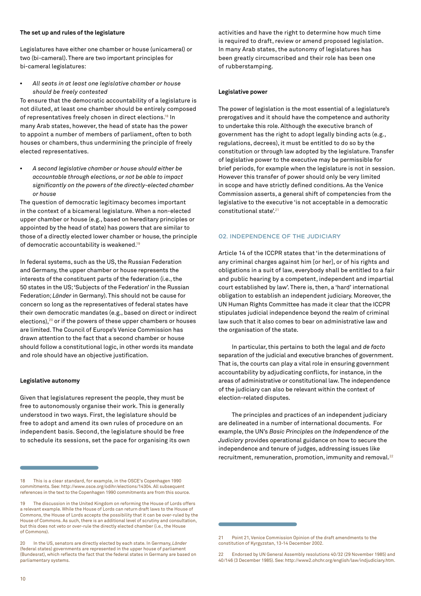#### <span id="page-9-0"></span>**The set up and rules of the legislature**

Legislatures have either one chamber or house (unicameral) or two (bi-cameral). There are two important principles for bi-cameral legislatures:

• *All seats in at least one legislative chamber or house should be freely contested* 

To ensure that the democratic accountability of a legislature is not diluted, at least one chamber should be entirely composed of representatives freely chosen in direct elections.<sup>18</sup> In many Arab states, however, the head of state has the power to appoint a number of members of parliament, often to both houses or chambers, thus undermining the principle of freely elected representatives.

• *A second legislative chamber or house should either be accountable through elections, or not be able to impact significantly on the powers of the directly-elected chamber or house* 

The question of democratic legitimacy becomes important in the context of a bicameral legislature. When a non-elected upper chamber or house (e.g., based on hereditary principles or appointed by the head of state) has powers that are similar to those of a directly elected lower chamber or house, the principle of democratic accountability is weakened.19

In federal systems, such as the US, the Russian Federation and Germany, the upper chamber or house represents the interests of the constituent parts of the federation (i.e., the 50 states in the US; 'Subjects of the Federation' in the Russian Federation; *Länder* in Germany). This should not be cause for concern so long as the representatives of federal states have their own democratic mandates (e.g., based on direct or indirect elections), $20$  or if the powers of these upper chambers or houses are limited. The Council of Europe's Venice Commission has drawn attention to the fact that a second chamber or house should follow a constitutional logic, in other words its mandate and role should have an objective justification.

#### **Legislative autonomy**

Given that legislatures represent the people, they must be free to autonomously organise their work. This is generally understood in two ways. First, the legislature should be free to adopt and amend its own rules of procedure on an independent basis. Second, the legislature should be free to schedule its sessions, set the pace for organising its own activities and have the right to determine how much time is required to draft, review or amend proposed legislation. In many Arab states, the autonomy of legislatures has been greatly circumscribed and their role has been one of rubberstamping.

#### **Legislative power**

The power of legislation is the most essential of a legislature's prerogatives and it should have the competence and authority to undertake this role. Although the executive branch of government has the right to adopt legally binding acts (e.g., regulations, decrees), it must be entitled to do so by the constitution or through law adopted by the legislature. Transfer of legislative power to the executive may be permissible for brief periods, for example when the legislature is not in session. However this transfer of power should only be very limited in scope and have strictly defined conditions. As the Venice Commission asserts, a general shift of competencies from the legislative to the executive 'is not acceptable in a democratic constitutional state'.<sup>21</sup>

#### 02. INDEPENDENCE OF THE JUDICIARY

Article 14 of the ICCPR states that 'in the determinations of any criminal charges against him [or her], or of his rights and obligations in a suit of law, everybody shall be entitled to a fair and public hearing by a competent, independent and impartial court established by law'. There is, then, a 'hard' international obligation to establish an independent judiciary. Moreover, the UN Human Rights Committee has made it clear that the ICCPR stipulates judicial independence beyond the realm of criminal law such that it also comes to bear on administrative law and the organisation of the state.

In particular, this pertains to both the legal and *de facto* separation of the judicial and executive branches of government. That is, the courts can play a vital role in ensuring government accountability by adjudicating conflicts, for instance, in the areas of administrative or constitutional law. The independence of the judiciary can also be relevant within the context of election-related disputes.

The principles and practices of an independent judiciary are delineated in a number of international documents. For example, the UN's *Basic Principles on the Independence of the Judiciary* provides operational guidance on how to secure the independence and tenure of judges, addressing issues like recruitment, remuneration, promotion, immunity and removal.<sup>22</sup>

<sup>18</sup> This is a clear standard, for example, in the OSCE's Copenhagen 1990 commitments. See: [http://www.osce.org/odihr/elections/14304.](http://www.osce.org/odihr/elections/14304) All subsequent references in the text to the Copenhagen 1990 commitments are from this source.

<sup>19</sup> The discussion in the United Kingdom on reforming the House of Lords offers a relevant example. While the House of Lords can return draft laws to the House of Commons, the House of Lords accepts the possibility that it can be over-ruled by the House of Commons. As such, there is an additional level of scrutiny and consultation, but this does not veto or over-rule the directly elected chamber (i.e., the House of Commons).

<sup>20</sup> In the US, senators are directly elected by each state. In Germany, *Länder* (federal states) governments are represented in the upper house of parliament (Bundesrat), which reflects the fact that the federal states in Germany are based on parliamentary systems.

<sup>21</sup> Point 21, Venice Commission Opinion of the draft amendments to the constitution of Kyrgyzstan, 13-14 December 2002.

<sup>22</sup> Endorsed by UN General Assembly resolutions 40/32 (29 November 1985) and 40/146 (3 December 1985). See: http://www2.ohchr.org/english/law/indjudiciary.htm.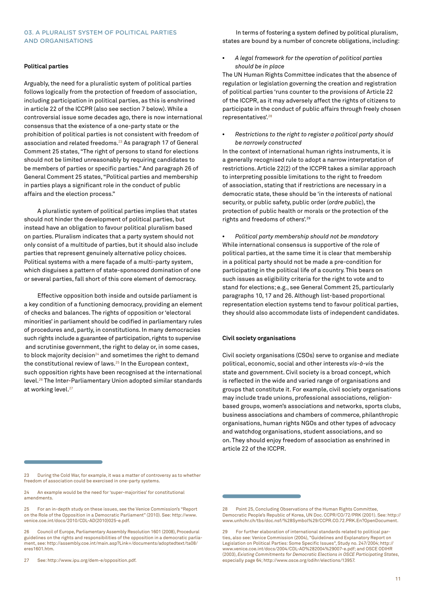#### <span id="page-10-0"></span>03. A PLURALIST SYSTEM OF POLITICAL PARTIES AND ORGANISATIONS

#### **Political parties**

Arguably, the need for a pluralistic system of political parties follows logically from the protection of freedom of association, including participation in political parties, as this is enshrined in article 22 of the ICCPR (also see section 7 below). While a controversial issue some decades ago, there is now international consensus that the existence of a one-party state or the prohibition of political parties is not consistent with freedom of association and related freedoms.<sup>23</sup> As paragraph 17 of General Comment 25 states, "The right of persons to stand for elections should not be limited unreasonably by requiring candidates to be members of parties or specific parties." And paragraph 26 of General Comment 25 states, "Political parties and membership in parties plays a significant role in the conduct of public affairs and the election process."

A pluralistic system of political parties implies that states should not hinder the development of political parties, but instead have an obligation to favour political pluralism based on parties. Pluralism indicates that a party system should not only consist of a multitude of parties, but it should also include parties that represent genuinely alternative policy choices. Political systems with a mere façade of a multi-party system, which disguises a pattern of state-sponsored domination of one or several parties, fall short of this core element of democracy.

Effective opposition both inside and outside parliament is a key condition of a functioning democracy, providing an element of checks and balances. The rights of opposition or 'electoral minorities' in parliament should be codified in parliamentary rules of procedures and, partly, in constitutions. In many democracies such rights include a guarantee of participation, rights to supervise and scrutinise government, the right to delay or, in some cases, to block majority decision<sup>24</sup> and sometimes the right to demand the constitutional review of laws.<sup>25</sup> In the European context, such opposition rights have been recognised at the international level.26 The Inter-Parliamentary Union adopted similar standards at working level.<sup>27</sup>

In terms of fostering a system defined by political pluralism, states are bound by a number of concrete obligations, including:

• *A legal framework for the operation of political parties should be in place* 

The UN Human Rights Committee indicates that the absence of regulation or legislation governing the creation and registration of political parties 'runs counter to the provisions of Article 22 of the ICCPR, as it may adversely affect the rights of citizens to participate in the conduct of public affairs through freely chosen representatives'.28

• *Restrictions to the right to register a political party should be narrowly constructed* 

In the context of international human rights instruments, it is a generally recognised rule to adopt a narrow interpretation of restrictions. Article 22(2) of the ICCPR takes a similar approach to interpreting possible limitations to the right to freedom of association, stating that if restrictions are necessary in a democratic state, these should be 'in the interests of national security, or public safety, public order (*ordre public*), the protection of public health or morals or the protection of the rights and freedoms of others'.29

• *Political party membership should not be mandatory* While international consensus is supportive of the role of political parties, at the same time it is clear that membership in a political party should not be made a pre-condition for participating in the political life of a country. This bears on such issues as eligibility criteria for the right to vote and to stand for elections; e.g., see General Comment 25, particularly paragraphs 10, 17 and 26. Although list-based proportional representation election systems tend to favour political parties, they should also accommodate lists of independent candidates.

#### **Civil society organisations**

Civil society organisations (CSOs) serve to organise and mediate political, economic, social and other interests *vis-à-vis* the state and government. Civil society is a broad concept, which is reflected in the wide and varied range of organisations and groups that constitute it. For example, civil society organisations may include trade unions, professional associations, religionbased groups, women's associations and networks, sports clubs, business associations and chambers of commerce, philanthropic organisations, human rights NGOs and other types of advocacy and watchdog organisations, student associations, and so on. They should enjoy freedom of association as enshrined in article 22 of the ICCPR.

27 See: http://www.ipu.org/dem-e/opposition.pdf.

<sup>23</sup> During the Cold War, for example, it was a matter of controversy as to whether freedom of association could be exercised in one-party systems.

<sup>24</sup> An example would be the need for 'super-majorities' for constitutional amendments.

<sup>25</sup> For an in-depth study on these issues, see the Venice Commission's "Report on the Role of the Opposition in a Democratic Parliament" (2010). See: http://www. venice.coe.int/docs/2010/CDL-AD(2010)025-e.pdf.

<sup>26</sup> Council of Europe, Parliamentary Assembly Resolution 1601 (2008), Procedural guidelines on the rights and responsibilities of the opposition in a democratic parliament, see: http://assembly.coe.int/main.asp?Link=/documents/adoptedtext/ta08/ eres1601.htm.

<sup>28</sup> Point 25, Concluding Observations of the Human Rights Committee Democratic People's Republic of Korea, UN Doc. CCPR/CO/72/PRK (2001). See: http:// www.unhchr.ch/tbs/doc.nsf/%28Symbol%29/CCPR.CO.72.PRK.En?OpenDocument.

<sup>29</sup> For further elaboration of international standards related to political parties, also see: Venice Commission (2004), "Guidelines and Explanatory Report on Legislation on Political Parties: Some Specific Issues", Study no. 247/2004; http:// www.venice.coe.int/docs/2004/CDL-AD%282004%29007-e.pdf; and OSCE ODIHR (2003), *Existing Commitments for Democratic Elections in OSCE Participating States*, especially page 64; http://www.osce.org/odihr/elections/13957.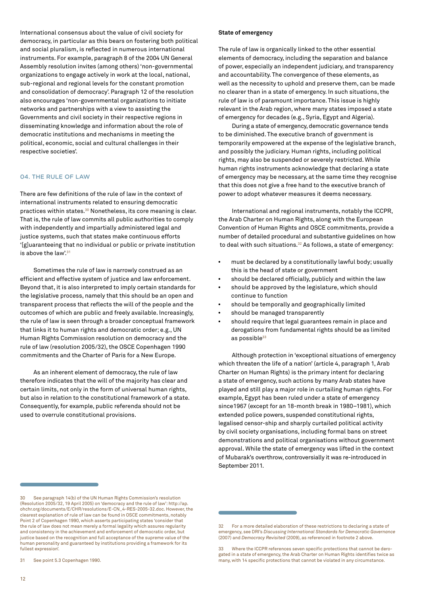<span id="page-11-0"></span>International consensus about the value of civil society for democracy, in particular as this bears on fostering both political and social pluralism, is reflected in numerous international instruments. For example, paragraph 8 of the 2004 UN General Assembly resolution invites (among others) 'non-governmental organizations to engage actively in work at the local, national, sub-regional and regional levels for the constant promotion and consolidation of democracy'. Paragraph 12 of the resolution also encourages 'non-governmental organizations to initiate networks and partnerships with a view to assisting the Governments and civil society in their respective regions in disseminating knowledge and information about the role of democratic institutions and mechanisms in meeting the political, economic, social and cultural challenges in their respective societies'.

#### 04. THE RULE OF LAW

There are few definitions of the rule of law in the context of international instruments related to ensuring democratic practices within states.30 Nonetheless, its core meaning is clear. That is, the rule of law commits all public authorities to comply with independently and impartially administered legal and justice systems, such that states make continuous efforts '[g]uaranteeing that no individual or public or private institution is above the  $law<sup>31</sup>$ 

Sometimes the rule of law is narrowly construed as an efficient and effective system of justice and law enforcement. Beyond that, it is also interpreted to imply certain standards for the legislative process, namely that this should be an open and transparent process that reflects the will of the people and the outcomes of which are public and freely available. Increasingly, the rule of law is seen through a broader conceptual framework that links it to human rights and democratic order; e.g., UN Human Rights Commission resolution on democracy and the rule of law (resolution 2005/32), the OSCE Copenhagen 1990 commitments and the Charter of Paris for a New Europe.

As an inherent element of democracy, the rule of law therefore indicates that the will of the majority has clear and certain limits, not only in the form of universal human rights, but also in relation to the constitutional framework of a state. Consequently, for example, public referenda should not be used to overrule constitutional provisions.

#### **State of emergency**

The rule of law is organically linked to the other essential elements of democracy, including the separation and balance of power, especially an independent judiciary, and transparency and accountability. The convergence of these elements, as well as the necessity to uphold and preserve them, can be made no clearer than in a state of emergency. In such situations, the rule of law is of paramount importance. This issue is highly relevant in the Arab region, where many states imposed a state of emergency for decades (e.g., Syria, Egypt and Algeria).

During a state of emergency, democratic governance tends to be diminished. The executive branch of government is temporarily empowered at the expense of the legislative branch, and possibly the judiciary. Human rights, including political rights, may also be suspended or severely restricted. While human rights instruments acknowledge that declaring a state of emergency may be necessary, at the same time they recognise that this does not give a free hand to the executive branch of power to adopt whatever measures it deems necessary.

International and regional instruments, notably the ICCPR, the Arab Charter on Human Rights, along with the European Convention of Human Rights and OSCE commitments, provide a number of detailed procedural and substantive guidelines on how to deal with such situations.32 As follows, a state of emergency:

- must be declared by a constitutionally lawful body; usually this is the head of state or government
- should be declared officially, publicly and within the law
- should be approved by the legislature, which should continue to function
- should be temporally and geographically limited
- should be managed transparently
- should require that legal guarantees remain in place and derogations from fundamental rights should be as limited as possible $33$

Although protection in 'exceptional situations of emergency which threaten the life of a nation' (article 4, paragraph 1, Arab Charter on Human Rights) is the primary intent for declaring a state of emergency, such actions by many Arab states have played and still play a major role in curtailing human rights. For example, Egypt has been ruled under a state of emergency since1967 (except for an 18-month break in 1980–1981), which extended police powers, suspended constitutional rights, legalised censor-ship and sharply curtailed political activity by civil society organisations, including formal bans on street demonstrations and political organisations without government approval. While the state of emergency was lifted in the context of Mubarak's overthrow, controversially it was re-introduced in September 2011.

<sup>30</sup> See paragraph 14(b) of the UN Human Rights Commission's resolution (Resolution 2005/32, 19 April 2005) on 'democracy and the rule of law': [http://ap.](http://ap.ohchr.org/documents/E/CHR/resolutions/E-CN_4-RES-2005-32.doc) [ohchr.org/documents/E/CHR/resolutions/E-CN\\_4-RES-2005-32.doc.](http://ap.ohchr.org/documents/E/CHR/resolutions/E-CN_4-RES-2005-32.doc) However, the clearest explanation of rule of law can be found in OSCE commitments, notably Point 2 of Copenhagen 1990, which asserts participating states 'consider that the rule of law does not mean merely a formal legality which assures regularity and consistency in the achievement and enforcement of democratic order, but justice based on the recognition and full acceptance of the supreme value of the human personality and guaranteed by institutions providing a framework for its fullest expression'.

<sup>31</sup> See point 5.3 Copenhagen 1990.

<sup>33</sup> Where the ICCPR references seven specific protections that cannot be derogated in a state of emergency, the Arab Charter on Human Rights identifies twice as many, with 14 specific protections that cannot be violated in any circumstance.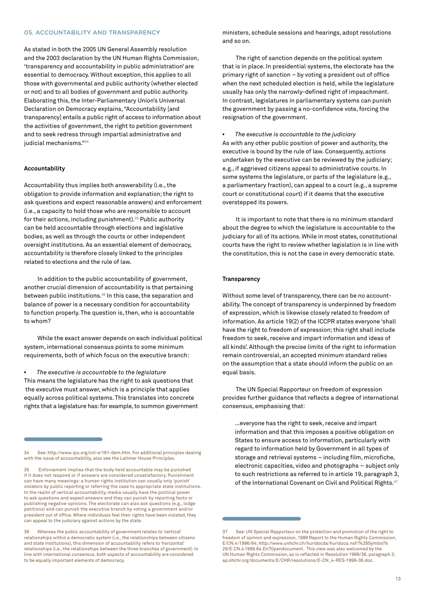#### <span id="page-12-0"></span>05. ACCOUNTABILITY AND TRANSPARENCY

As stated in both the 2005 UN General Assembly resolution and the 2003 declaration by the UN Human Rights Commission, 'transparency and accountability in public administration' are essential to democracy. Without exception, this applies to all those with governmental and public authority (whether elected or not) and to all bodies of government and public authority. Elaborating this, the Inter-Parliamentary Union's Universal Declaration on Democracy explains, "Accountability [and transparency] entails a public right of access to information about the activities of government, the right to petition government and to seek redress through impartial administrative and judicial mechanisms."34

#### **Accountability**

Accountability thus implies both answerability (i.e., the obligation to provide information and explanation; the right to ask questions and expect reasonable answers) and enforcement (i.e., a capacity to hold those who are responsible to account for their actions, including punishment). $35$  Public authority can be held accountable through elections and legislative bodies, as well as through the courts or other independent oversight institutions. As an essential element of democracy, accountability is therefore closely linked to the principles related to elections and the rule of law.

In addition to the public accountability of government, another crucial dimension of accountability is that pertaining between public institutions.<sup>36</sup> In this case, the separation and balance of power is a necessary condition for accountability to function properly. The question is, then, who is accountable to whom?

While the exact answer depends on each individual political system, international consensus points to some minimum requirements, both of which focus on the executive branch:

• *The executive is accountable to the legislature* This means the legislature has the right to ask questions that the executive must answer, which is a principle that applies equally across political systems. This translates into concrete rights that a legislature has: for example, to summon government ministers, schedule sessions and hearings, adopt resolutions and so on.

The right of sanction depends on the political system that is in place. In presidential systems, the electorate has the primary right of sanction – by voting a president out of office when the next scheduled election is held, while the legislature usually has only the narrowly-defined right of impeachment. In contrast, legislatures in parliamentary systems can punish the government by passing a no-confidence vote, forcing the resignation of the government.

• *The executive is accountable to the judiciary* As with any other public position of power and authority, the executive is bound by the rule of law. Consequently, actions undertaken by the executive can be reviewed by the judiciary; e.g., if aggrieved citizens appeal to administrative courts. In some systems the legislature, or parts of the legislature (e.g., a parliamentary fraction), can appeal to a court (e.g., a supreme court or constitutional court) if it deems that the executive overstepped its powers.

It is important to note that there is no minimum standard about the degree to which the legislature is accountable to the judiciary for all of its actions. While in most states, constitutional courts have the right to review whether legislation is in line with the constitution, this is not the case in every democratic state.

#### **Transparency**

Without some level of transparency, there can be no accountability. The concept of transparency is underpinned by freedom of expression, which is likewise closely related to freedom of information. As article 19(2) of the ICCPR states everyone 'shall have the right to freedom of expression; this right shall include freedom to seek, receive and impart information and ideas of all kinds'. Although the precise limits of the right to information remain controversial, an accepted minimum standard relies on the assumption that a state should inform the public on an equal basis.

The UN Special Rapporteur on freedom of expression provides further guidance that reflects a degree of international consensus, emphasising that:

…everyone has the right to seek, receive and impart information and that this imposes a positive obligation on States to ensure access to information, particularly with regard to information held by Government in all types of storage and retrieval systems – including film, microfiche, electronic capacities, video and photographs – subject only to such restrictions as referred to in article 19, paragraph 3, of the International Covenant on Civil and Political Rights.<sup>37</sup>

See:<http://www.ipu.org/cnl-e/161-dem.htm>. For additional principles dealing with the issue of accountability, also see the Latimer House Principles.

<sup>35</sup> Enforcement implies that the body held accountable may be punished if it does not respond or if answers are considered unsatisfactory. Punishment can have many meanings: a human rights institution can usually only 'punish' violators by public reporting or referring the case to appropriate state institutions. In the realm of vertical accountability, media usually have the political power to ask questions and expect answers and they can punish by reporting facts or publishing negative opinions. The electorate can also ask questions (e.g., lodge petitions) and can punish the executive branch by voting a government and/or president out of office. Where individuals feel their rights have been violated, they can appeal to the judiciary against actions by the state.

<sup>36</sup> Whereas the public accountability of government relates to 'vertical' relationships within a democratic system (i.e., the relationships between citizens and state institutions), this dimension of accountability refers to 'horizontal' relationships (i.e., the relationships between the three branches of government). In line with international consensus, both aspects of accountability are considered to be equally important elements of democracy.

<sup>37</sup> See: UN Special Rapporteur on the protection and promotion of the right to freedom of opinion and expression, 1999 Report to the Human Rights Commission, E/CN.4/1996/64; http://www.unhchr.ch/huridocda/huridoca.nsf/%28Symbol% 29/E.CN.4.1999.64.En?Opendocument. This view was also welcomed by the UN Human Rights Commission, as is reflected in Resolution 1999/36, paragraph 2; ap.ohchr.org/documents/E/CHR/resolutions/E-CN\_4-RES-1999-36.doc.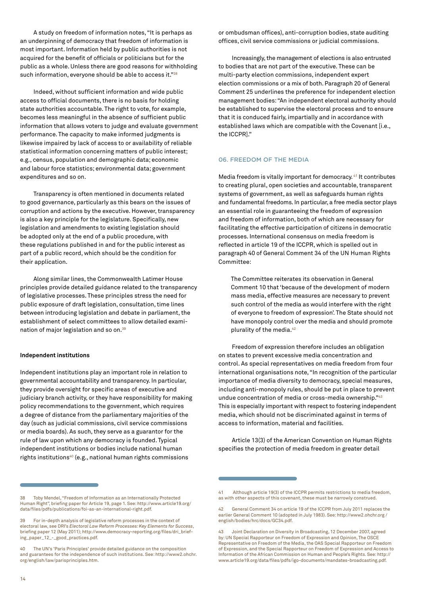<span id="page-13-0"></span>A study on freedom of information notes, "It is perhaps as an underpinning of democracy that freedom of information is most important. Information held by public authorities is not acquired for the benefit of officials or politicians but for the public as a whole. Unless there are good reasons for withholding such information, everyone should be able to access it."38

Indeed, without sufficient information and wide public access to official documents, there is no basis for holding state authorities accountable. The right to vote, for example, becomes less meaningful in the absence of sufficient public information that allows voters to judge and evaluate government performance. The capacity to make informed judgments is likewise impaired by lack of access to or availability of reliable statistical information concerning matters of public interest; e.g., census, population and demographic data; economic and labour force statistics; environmental data; government expenditures and so on.

Transparency is often mentioned in documents related to good governance, particularly as this bears on the issues of corruption and actions by the executive. However, transparency is also a key principle for the legislature. Specifically, new legislation and amendments to existing legislation should be adopted only at the end of a public procedure, with these regulations published in and for the public interest as part of a public record, which should be the condition for their application.

Along similar lines, the Commonwealth Latimer House principles provide detailed guidance related to the transparency of legislative processes. These principles stress the need for public exposure of draft legislation, consultation, time lines between introducing legislation and debate in parliament, the establishment of select committees to allow detailed examination of major legislation and so on.39

#### **Independent institutions**

Independent institutions play an important role in relation to governmental accountability and transparency. In particular, they provide oversight for specific areas of executive and judiciary branch activity, or they have responsibility for making policy recommendations to the government, which requires a degree of distance from the parliamentary majorities of the day (such as judicial commissions, civil service commissions or media boards). As such, they serve as a guarantor for the rule of law upon which any democracy is founded. Typical independent institutions or bodies include national human rights institutions<sup>40</sup> (e.g., national human rights commissions

or ombudsman offices), anti-corruption bodies, state auditing offices, civil service commissions or judicial commissions.

Increasingly, the management of elections is also entrusted to bodies that are not part of the executive. These can be multi-party election commissions, independent expert election commissions or a mix of both. Paragraph 20 of General Comment 25 underlines the preference for independent election management bodies: "An independent electoral authority should be established to supervise the electoral process and to ensure that it is conduced fairly, impartially and in accordance with established laws which are compatible with the Covenant [i.e., the ICCPR]."

#### 06. FREEDOM OF THE MEDIA

Media freedom is vitally important for democracy.<sup>41</sup> It contributes to creating plural, open societies and accountable, transparent systems of government, as well as safeguards human rights and fundamental freedoms. In particular, a free media sector plays an essential role in guaranteeing the freedom of expression and freedom of information, both of which are necessary for facilitating the effective participation of citizens in democratic processes. International consensus on media freedom is reflected in article 19 of the ICCPR, which is spelled out in paragraph 40 of General Comment 34 of the UN Human Rights Committee:

The Committee reiterates its observation in General Comment 10 that 'because of the development of modern mass media, effective measures are necessary to prevent such control of the media as would interfere with the right of everyone to freedom of expression'. The State should not have monopoly control over the media and should promote plurality of the media.<sup>42</sup>

Freedom of expression therefore includes an obligation on states to prevent excessive media concentration and control. As special representatives on media freedom from four international organisations note, "In recognition of the particular importance of media diversity to democracy, special measures, including anti-monopoly rules, should be put in place to prevent undue concentration of media or cross-media ownership."43 This is especially important with respect to fostering independent media, which should not be discriminated against in terms of access to information, material and facilities.

Article 13(3) of the American Convention on Human Rights specifies the protection of media freedom in greater detail

<sup>38</sup> Toby Mendel, "Freedom of Information as an Internationally Protected Human Right", briefing paper for Article 19, page 1. See:<http://www.article19.org/> data/files/pdfs/publications/foi-as-an-international-right.pdf.

<sup>39</sup> For in-depth analysis of legislative reform processes in the context of electoral law, see DRI's *Electoral Law Reform Processes: Key Elements for Success*, briefing paper 12 (May 2011); http://www.democracy-reporting.org/files/dri\_briefing\_paper\_12\_-\_good\_practices.pdf.

<sup>40</sup> The UN's 'Paris Principles' provide detailed guidance on the composition and guarantees for the independence of such institutions. See: http://www2.ohchr. org/english/law/parisprinciples.htm.

Although article 19(3) of the ICCPR permits restrictions to media freedom, as with other aspects of this covenant, these must be narrowly construed.

<sup>42</sup> General Comment 34 on article 19 of the ICCPR from July 2011 replaces the earlier General Comment 10 (adopted in July 1983). See: <http://www2.ohchr.org>/ english/bodies/hrc/docs/GC34.pdf.

<sup>43</sup> Joint Declaration on Diversity in Broadcasting, 12 December 2007, agreed by: UN Special Rapporteur on Freedom of Expression and Opinion, The OSCE Representative on Freedom of the Media, the OAS Special Rapporteur on Freedom of Expression, and the Special Rapporteur on Freedom of Expression and Access to Information of the African Commission on Human and People's Rights. See: http:// www.article19.org/data/files/pdfs/igo-documents/mandates-broadcasting.pdf.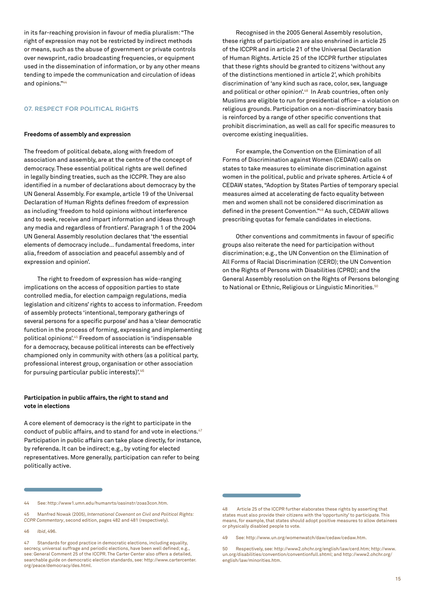<span id="page-14-0"></span>in its far-reaching provision in favour of media pluralism: "The right of expression may not be restricted by indirect methods or means, such as the abuse of government or private controls over newsprint, radio broadcasting frequencies, or equipment used in the dissemination of information, or by any other means tending to impede the communication and circulation of ideas and opinions."44

#### 07. RESPECT FOR POLITICAL RIGHTS

#### **Freedoms of assembly and expression**

The freedom of political debate, along with freedom of association and assembly, are at the centre of the concept of democracy. These essential political rights are well defined in legally binding treaties, such as the ICCPR. They are also identified in a number of declarations about democracy by the UN General Assembly. For example, article 19 of the Universal Declaration of Human Rights defines freedom of expression as including 'freedom to hold opinions without interference and to seek, receive and impart information and ideas through any media and regardless of frontiers'. Paragraph 1 of the 2004 UN General Assembly resolution declares that 'the essential elements of democracy include… fundamental freedoms, inter alia, freedom of association and peaceful assembly and of expression and opinion'.

The right to freedom of expression has wide-ranging implications on the access of opposition parties to state controlled media, for election campaign regulations, media legislation and citizens' rights to access to information. Freedom of assembly protects 'intentional, temporary gatherings of several persons for a specific purpose' and has a 'clear democratic function in the process of forming, expressing and implementing political opinions'.45 Freedom of association is 'indispensable for a democracy, because political interests can be effectively championed only in community with others (as a political party, professional interest group, organisation or other association for pursuing particular public interests)'.46

#### **Participation in public affairs, the right to stand and vote in elections**

A core element of democracy is the right to participate in the conduct of public affairs, and to stand for and vote in elections.<sup>47</sup> Participation in public affairs can take place directly, for instance, by referenda. It can be indirect; e.g., by voting for elected representatives. More generally, participation can refer to being politically active.

46 *Ibid*, 496.

Recognised in the 2005 General Assembly resolution, these rights of participation are also enshrined in article 25 of the ICCPR and in article 21 of the Universal Declaration of Human Rights. Article 25 of the ICCPR further stipulates that these rights should be granted to citizens 'without any of the distinctions mentioned in article 2', which prohibits discrimination of 'any kind such as race, color, sex, language and political or other opinion'.<sup>48</sup> In Arab countries, often only Muslims are eligible to run for presidential office– a violation on religious grounds. Participation on a non-discriminatory basis is reinforced by a range of other specific conventions that prohibit discrimination, as well as call for specific measures to overcome existing inequalities.

For example, the Convention on the Elimination of all Forms of Discrimination against Women (CEDAW) calls on states to take measures to eliminate discrimination against women in the political, public and private spheres. Article 4 of CEDAW states, "Adoption by States Parties of temporary special measures aimed at accelerating de facto equality between men and women shall not be considered discrimination as defined in the present Convention."49 As such, CEDAW allows prescribing quotas for female candidates in elections.

Other conventions and commitments in favour of specific groups also reiterate the need for participation without discrimination; e.g., the UN Convention on the Elimination of All Forms of Racial Discrimination (CERD); the UN Convention on the Rights of Persons with Disabilities (CPRD); and the General Assembly resolution on the Rights of Persons belonging to National or Ethnic, Religious or Linguistic Minorities.<sup>50</sup>

<sup>44</sup> See: http://www1.umn.edu/humanrts/oasinstr/zoas3con.htm.

<sup>45</sup> Manfred Nowak (2005), *International Covenant on Civil and Political Rights: CCPR Commentary*, second edition, pages 482 and 481 (respectively).

<sup>47</sup> Standards for good practice in democratic elections, including equality, secrecy, universal suffrage and periodic elections, have been well defined; e.g., see: General Comment 25 of the ICCPR. The Carter Center also offers a detailed searchable guide on democratic election standards, see: http://www.cartercenter. org/peace/democracy/des.html.

<sup>48</sup> Article 25 of the ICCPR further elaborates these rights by asserting that states must also provide their citizens with the 'opportunity' to participate. This means, for example, that states should adopt positive measures to allow detainees or physically disabled people to vote.

<sup>49</sup> See: http://www.un.org/womenwatch/daw/cedaw/cedaw.htm.

<sup>50</sup> Respectively, see: [http://www2.ohchr.org/english/law/cerd.htm;](http://www2.ohchr.org/english/law/cerd.htm) [http://www.](http://www.un.org/disabilities/convention/conventionfull.shtml) [un.org/disabilities/convention/conventionfull.shtml](http://www.un.org/disabilities/convention/conventionfull.shtml); and http://www2.ohchr.org/ english/law/minorities.htm.